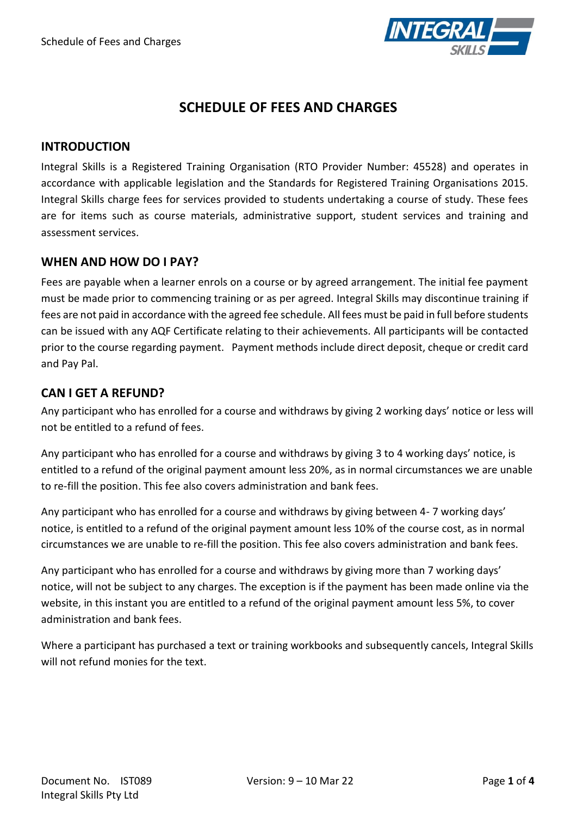

# **SCHEDULE OF FEES AND CHARGES**

#### **INTRODUCTION**

Integral Skills is a Registered Training Organisation (RTO Provider Number: 45528) and operates in accordance with applicable legislation and the Standards for Registered Training Organisations 2015. Integral Skills charge fees for services provided to students undertaking a course of study. These fees are for items such as course materials, administrative support, student services and training and assessment services.

#### **WHEN AND HOW DO I PAY?**

Fees are payable when a learner enrols on a course or by agreed arrangement. The initial fee payment must be made prior to commencing training or as per agreed. Integral Skills may discontinue training if fees are not paid in accordance with the agreed fee schedule. All fees must be paid in full before students can be issued with any AQF Certificate relating to their achievements. All participants will be contacted prior to the course regarding payment. Payment methods include direct deposit, cheque or credit card and Pay Pal.

#### **CAN I GET A REFUND?**

Any participant who has enrolled for a course and withdraws by giving 2 working days' notice or less will not be entitled to a refund of fees.

Any participant who has enrolled for a course and withdraws by giving 3 to 4 working days' notice, is entitled to a refund of the original payment amount less 20%, as in normal circumstances we are unable to re-fill the position. This fee also covers administration and bank fees.

Any participant who has enrolled for a course and withdraws by giving between 4- 7 working days' notice, is entitled to a refund of the original payment amount less 10% of the course cost, as in normal circumstances we are unable to re-fill the position. This fee also covers administration and bank fees.

Any participant who has enrolled for a course and withdraws by giving more than 7 working days' notice, will not be subject to any charges. The exception is if the payment has been made online via the website, in this instant you are entitled to a refund of the original payment amount less 5%, to cover administration and bank fees.

Where a participant has purchased a text or training workbooks and subsequently cancels, Integral Skills will not refund monies for the text.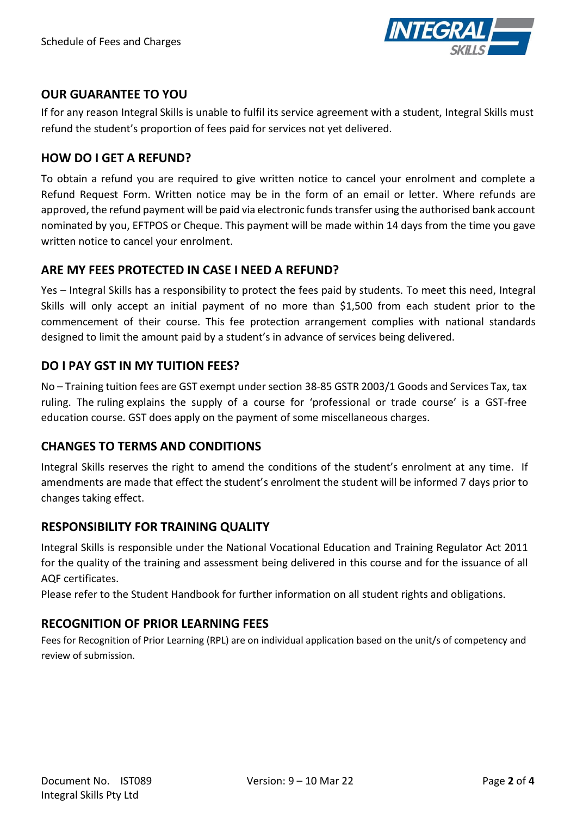

### **OUR GUARANTEE TO YOU**

If for any reason Integral Skills is unable to fulfil its service agreement with a student, Integral Skills must refund the student's proportion of fees paid for services not yet delivered.

### **HOW DO I GET A REFUND?**

To obtain a refund you are required to give written notice to cancel your enrolment and complete a Refund Request Form. Written notice may be in the form of an email or letter. Where refunds are approved, the refund payment will be paid via electronic funds transfer using the authorised bank account nominated by you, EFTPOS or Cheque. This payment will be made within 14 days from the time you gave written notice to cancel your enrolment.

### **ARE MY FEES PROTECTED IN CASE I NEED A REFUND?**

Yes – Integral Skills has a responsibility to protect the fees paid by students. To meet this need, Integral Skills will only accept an initial payment of no more than \$1,500 from each student prior to the commencement of their course. This fee protection arrangement complies with national standards designed to limit the amount paid by a student's in advance of services being delivered.

### **DO I PAY GST IN MY TUITION FEES?**

No – Training tuition fees are GST exempt under section 38-85 GSTR 2003/1 Goods and Services Tax, tax ruling. The ruling explains the supply of a course for 'professional or trade course' is a GST-free education course. GST does apply on the payment of some miscellaneous charges.

#### **CHANGES TO TERMS AND CONDITIONS**

Integral Skills reserves the right to amend the conditions of the student's enrolment at any time. If amendments are made that effect the student's enrolment the student will be informed 7 days prior to changes taking effect.

# **RESPONSIBILITY FOR TRAINING QUALITY**

Integral Skills is responsible under the National Vocational Education and Training Regulator Act 2011 for the quality of the training and assessment being delivered in this course and for the issuance of all AQF certificates.

Please refer to the Student Handbook for further information on all student rights and obligations.

# **RECOGNITION OF PRIOR LEARNING FEES**

Fees for Recognition of Prior Learning (RPL) are on individual application based on the unit/s of competency and review of submission.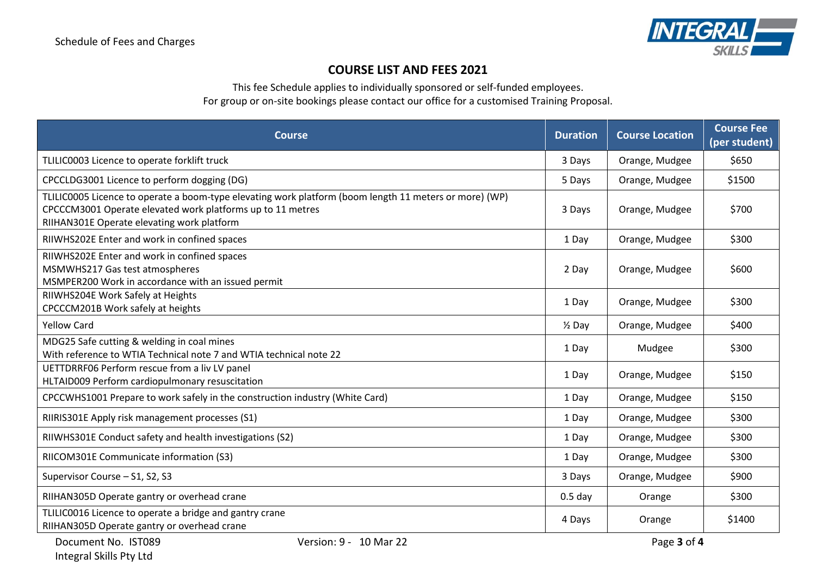

# **COURSE LIST AND FEES 2021**

This fee Schedule applies to individually sponsored or self-funded employees.

For group or on-site bookings please contact our office for a customised Training Proposal.

| <b>Course</b>                                                                                                                                                                                                      | <b>Duration</b>   | <b>Course Location</b> | <b>Course Fee</b><br>(per student) |
|--------------------------------------------------------------------------------------------------------------------------------------------------------------------------------------------------------------------|-------------------|------------------------|------------------------------------|
| TLILIC0003 Licence to operate forklift truck                                                                                                                                                                       | 3 Days            | Orange, Mudgee         | \$650                              |
| CPCCLDG3001 Licence to perform dogging (DG)                                                                                                                                                                        | 5 Days            | Orange, Mudgee         | \$1500                             |
| TLILIC0005 Licence to operate a boom-type elevating work platform (boom length 11 meters or more) (WP)<br>CPCCCM3001 Operate elevated work platforms up to 11 metres<br>RIIHAN301E Operate elevating work platform | 3 Days            | Orange, Mudgee         | \$700                              |
| RIIWHS202E Enter and work in confined spaces                                                                                                                                                                       | 1 Day             | Orange, Mudgee         | \$300                              |
| RIIWHS202E Enter and work in confined spaces<br>MSMWHS217 Gas test atmospheres<br>MSMPER200 Work in accordance with an issued permit                                                                               | 2 Day             | Orange, Mudgee         | \$600                              |
| RIIWHS204E Work Safely at Heights<br>CPCCCM201B Work safely at heights                                                                                                                                             | 1 Day             | Orange, Mudgee         | \$300                              |
| <b>Yellow Card</b>                                                                                                                                                                                                 | $\frac{1}{2}$ Day | Orange, Mudgee         | \$400                              |
| MDG25 Safe cutting & welding in coal mines<br>With reference to WTIA Technical note 7 and WTIA technical note 22                                                                                                   | 1 Day             | Mudgee                 | \$300                              |
| UETTDRRF06 Perform rescue from a liv LV panel<br>HLTAID009 Perform cardiopulmonary resuscitation                                                                                                                   | 1 Day             | Orange, Mudgee         | \$150                              |
| CPCCWHS1001 Prepare to work safely in the construction industry (White Card)                                                                                                                                       | 1 Day             | Orange, Mudgee         | \$150                              |
| RIIRIS301E Apply risk management processes (S1)                                                                                                                                                                    | 1 Day             | Orange, Mudgee         | \$300                              |
| RIIWHS301E Conduct safety and health investigations (S2)                                                                                                                                                           | 1 Day             | Orange, Mudgee         | \$300                              |
| RIICOM301E Communicate information (S3)                                                                                                                                                                            | 1 Day             | Orange, Mudgee         | \$300                              |
| Supervisor Course - S1, S2, S3                                                                                                                                                                                     | 3 Days            | Orange, Mudgee         | \$900                              |
| RIIHAN305D Operate gantry or overhead crane                                                                                                                                                                        | $0.5$ day         | Orange                 | \$300                              |
| TLILIC0016 Licence to operate a bridge and gantry crane<br>RIIHAN305D Operate gantry or overhead crane                                                                                                             | 4 Days            | Orange                 | \$1400                             |
| Document No. IST089<br>Version: 9 - 10 Mar 22                                                                                                                                                                      |                   | Page 3 of 4            |                                    |